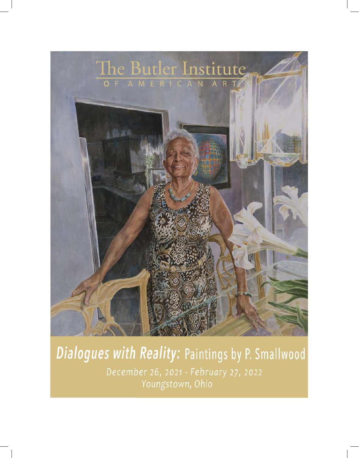

# Dialogues with Reality: Paintings by P. Smallwood December 26, 2021 - February 27, 2022 Youngstown, Ohio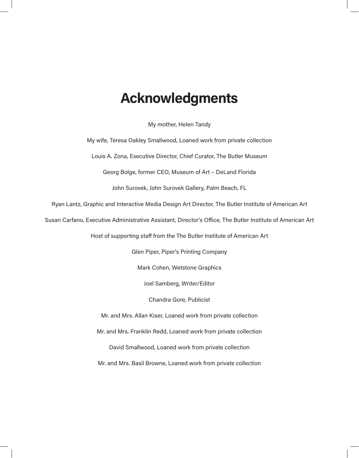### **Acknowledgments**

My mother, Helen Tandy

My wife, Teresa Oakley Smallwood, Loaned work from private collection

Louis A. Zona, Executive Director, Chief Curator, The Butler Museum

Georg Bolge, former CEO, Museum of Art – DeLand Florida

John Surovek, John Surovek Gallery, Palm Beach, FL

Ryan Lantz, Graphic and Interactive Media Design Art Director, The Butler Institute of American Art

Susan Carfano, Executive Administrative Assistant, Director's Office, The Butler Institute of American Art

Host of supporting staff from the The Butler Institute of American Art

Glen Piper, Piper's Printing Company

Mark Cohen, Wetstone Graphics

Joel Samberg, Writer/Editor

Chandra Gore, Publicist

Mr. and Mrs. Allan Kiser, Loaned work from private collection

Mr. and Mrs. Franklin Redd, Loaned work from private collection

David Smallwood, Loaned work from private collection

Mr. and Mrs. Basil Browne, Loaned work from private collection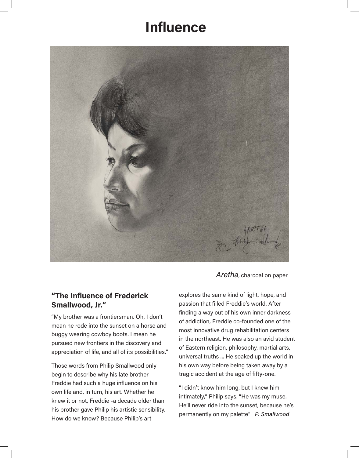## **Influence**



*Aretha*, charcoal on paper

### **"The Influence of Frederick Smallwood, Jr."**

"My brother was a frontiersman. Oh, I don't mean he rode into the sunset on a horse and buggy wearing cowboy boots. I mean he pursued new frontiers in the discovery and appreciation of life, and all of its possibilities."

Those words from Philip Smallwood only begin to describe why his late brother Freddie had such a huge influence on his own life and, in turn, his art. Whether he knew it or not, Freddie -a decade older than his brother gave Philip his artistic sensibility. How do we know? Because Philip's art

explores the same kind of light, hope, and passion that filled Freddie's world. After finding a way out of his own inner darkness of addiction, Freddie co-founded one of the most innovative drug rehabilitation centers in the northeast. He was also an avid student of Eastern religion, philosophy, martial arts, universal truths ... He soaked up the world in his own way before being taken away by a tragic accident at the age of fifty-one.

"I didn't know him long, but I knew him intimately," Philip says. "He was my muse. He'll never ride into the sunset, because he's permanently on my palette" *P. Smallwood*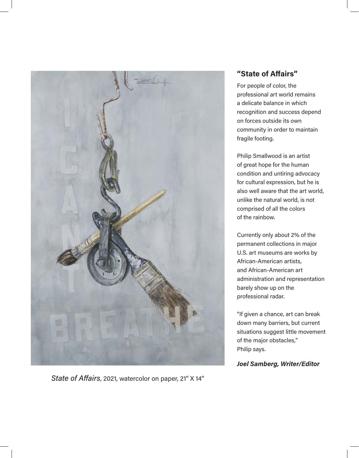

*State of Affairs*, 2021, watercolor on paper, 21" X 14"

### **"State of Affairs"**

For people of color, the professional art world remains a delicate balance in which recognition and success depend on forces outside its own community in order to maintain fragile footing.

Philip Smallwood is an artist of great hope for the human condition and untiring advocacy for cultural expression, but he is also well aware that the art world, unlike the natural world, is not comprised of all the colors of the rainbow.

Currently only about 2% of the permanent collections in major U.S. art museums are works by African-American artists, and African-American art administration and representation barely show up on the professional radar.

"If given a chance, art can break down many barriers, but current situations suggest little movement of the major obstacles," Philip says.

*Joel Samberg, Writer/Editor*